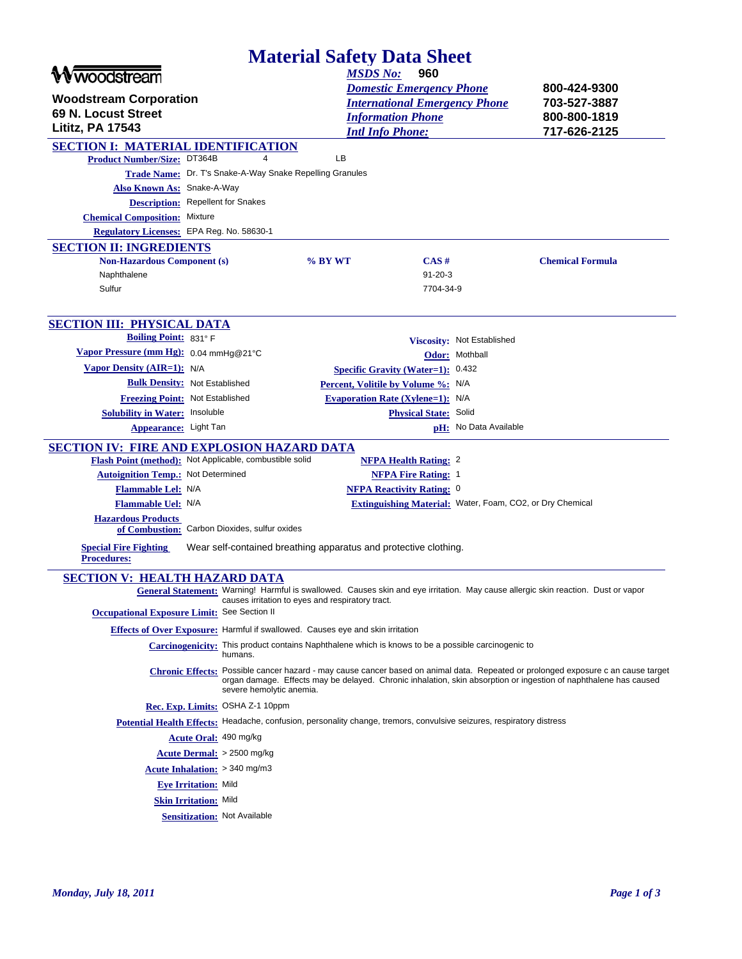| <b>Material Safety Data Sheet</b>                                              |                                                                                                                       |                                         |                                  |                                                           |                                                                                                                                                                                                                                                       |
|--------------------------------------------------------------------------------|-----------------------------------------------------------------------------------------------------------------------|-----------------------------------------|----------------------------------|-----------------------------------------------------------|-------------------------------------------------------------------------------------------------------------------------------------------------------------------------------------------------------------------------------------------------------|
| <b>Wwoodstream</b>                                                             |                                                                                                                       | <b>MSDS No:</b>                         | 960                              |                                                           |                                                                                                                                                                                                                                                       |
|                                                                                |                                                                                                                       |                                         | <b>Domestic Emergency Phone</b>  |                                                           | 800-424-9300                                                                                                                                                                                                                                          |
| <b>Woodstream Corporation</b>                                                  |                                                                                                                       |                                         |                                  | <b>International Emergency Phone</b>                      | 703-527-3887                                                                                                                                                                                                                                          |
| 69 N. Locust Street                                                            |                                                                                                                       | <b>Information Phone</b>                |                                  |                                                           | 800-800-1819                                                                                                                                                                                                                                          |
| <b>Lititz, PA 17543</b>                                                        |                                                                                                                       | <b>Intl Info Phone:</b>                 |                                  |                                                           | 717-626-2125                                                                                                                                                                                                                                          |
| <b>SECTION I: MATERIAL IDENTIFICATION</b>                                      |                                                                                                                       |                                         |                                  |                                                           |                                                                                                                                                                                                                                                       |
| <b>Product Number/Size: DT364B</b>                                             | 4                                                                                                                     | LВ                                      |                                  |                                                           |                                                                                                                                                                                                                                                       |
| Trade Name: Dr. T's Snake-A-Way Snake Repelling Granules                       |                                                                                                                       |                                         |                                  |                                                           |                                                                                                                                                                                                                                                       |
| Also Known As: Snake-A-Way<br><b>Description:</b> Repellent for Snakes         |                                                                                                                       |                                         |                                  |                                                           |                                                                                                                                                                                                                                                       |
| <b>Chemical Composition:</b> Mixture                                           |                                                                                                                       |                                         |                                  |                                                           |                                                                                                                                                                                                                                                       |
| Regulatory Licenses: EPA Reg. No. 58630-1                                      |                                                                                                                       |                                         |                                  |                                                           |                                                                                                                                                                                                                                                       |
| <b>SECTION II: INGREDIENTS</b>                                                 |                                                                                                                       |                                         |                                  |                                                           |                                                                                                                                                                                                                                                       |
| <b>Non-Hazardous Component (s)</b>                                             |                                                                                                                       | % BY WT                                 | CAS#                             |                                                           | <b>Chemical Formula</b>                                                                                                                                                                                                                               |
| Naphthalene                                                                    |                                                                                                                       |                                         | $91 - 20 - 3$                    |                                                           |                                                                                                                                                                                                                                                       |
| Sulfur                                                                         |                                                                                                                       |                                         | 7704-34-9                        |                                                           |                                                                                                                                                                                                                                                       |
|                                                                                |                                                                                                                       |                                         |                                  |                                                           |                                                                                                                                                                                                                                                       |
| <b>SECTION III: PHYSICAL DATA</b>                                              |                                                                                                                       |                                         |                                  |                                                           |                                                                                                                                                                                                                                                       |
| <b>Boiling Point: 831° F</b>                                                   |                                                                                                                       |                                         |                                  | Viscosity: Not Established                                |                                                                                                                                                                                                                                                       |
| Vapor Pressure (mm Hg): 0.04 mmHg@21°C                                         |                                                                                                                       |                                         |                                  | Odor: Mothball                                            |                                                                                                                                                                                                                                                       |
| Vapor Density (AIR=1): N/A                                                     |                                                                                                                       | Specific Gravity (Water=1): 0.432       |                                  |                                                           |                                                                                                                                                                                                                                                       |
| <b>Bulk Density:</b> Not Established                                           |                                                                                                                       | Percent, Volitile by Volume %: N/A      |                                  |                                                           |                                                                                                                                                                                                                                                       |
| Freezing Point: Not Established                                                |                                                                                                                       | <b>Evaporation Rate (Xylene=1):</b> N/A |                                  |                                                           |                                                                                                                                                                                                                                                       |
| <b>Solubility in Water: Insoluble</b>                                          |                                                                                                                       |                                         | Physical State: Solid            |                                                           |                                                                                                                                                                                                                                                       |
| Appearance: Light Tan                                                          |                                                                                                                       |                                         |                                  | pH: No Data Available                                     |                                                                                                                                                                                                                                                       |
| SECTION IV: FIRE AND EXPLOSION HAZARD DATA                                     |                                                                                                                       |                                         |                                  |                                                           |                                                                                                                                                                                                                                                       |
| Flash Point (method): Not Applicable, combustible solid                        |                                                                                                                       |                                         | <b>NFPA Health Rating: 2</b>     |                                                           |                                                                                                                                                                                                                                                       |
| <b>Autoignition Temp.:</b> Not Determined                                      |                                                                                                                       |                                         | <b>NFPA Fire Rating: 1</b>       |                                                           |                                                                                                                                                                                                                                                       |
| Flammable Lel: N/A                                                             |                                                                                                                       |                                         | <b>NFPA Reactivity Rating: 0</b> |                                                           |                                                                                                                                                                                                                                                       |
| <b>Flammable Uel: N/A</b>                                                      |                                                                                                                       |                                         |                                  | Extinguishing Material: Water, Foam, CO2, or Dry Chemical |                                                                                                                                                                                                                                                       |
| <b>Hazardous Products</b>                                                      |                                                                                                                       |                                         |                                  |                                                           |                                                                                                                                                                                                                                                       |
| of Combustion: Carbon Dioxides, sulfur oxides                                  |                                                                                                                       |                                         |                                  |                                                           |                                                                                                                                                                                                                                                       |
| <b>Special Fire Fighting</b>                                                   | Wear self-contained breathing apparatus and protective clothing.                                                      |                                         |                                  |                                                           |                                                                                                                                                                                                                                                       |
| <b>Procedures:</b>                                                             |                                                                                                                       |                                         |                                  |                                                           |                                                                                                                                                                                                                                                       |
| <b>SECTION V: HEALTH HAZARD DATA</b>                                           |                                                                                                                       |                                         |                                  |                                                           |                                                                                                                                                                                                                                                       |
|                                                                                | causes irritation to eyes and respiratory tract.                                                                      |                                         |                                  |                                                           | General Statement: Warning! Harmful is swallowed. Causes skin and eye irritation. May cause allergic skin reaction. Dust or vapor                                                                                                                     |
| Occupational Exposure Limit: See Section II                                    |                                                                                                                       |                                         |                                  |                                                           |                                                                                                                                                                                                                                                       |
| Effects of Over Exposure: Harmful if swallowed. Causes eye and skin irritation |                                                                                                                       |                                         |                                  |                                                           |                                                                                                                                                                                                                                                       |
|                                                                                | Carcinogenicity: This product contains Naphthalene which is knows to be a possible carcinogenic to<br>humans.         |                                         |                                  |                                                           |                                                                                                                                                                                                                                                       |
|                                                                                | severe hemolytic anemia.                                                                                              |                                         |                                  |                                                           | Chronic Effects: Possible cancer hazard - may cause cancer based on animal data. Repeated or prolonged exposure c an cause target<br>organ damage. Effects may be delayed. Chronic inhalation, skin absorption or ingestion of naphthalene has caused |
| Rec. Exp. Limits: OSHA Z-1 10ppm                                               |                                                                                                                       |                                         |                                  |                                                           |                                                                                                                                                                                                                                                       |
|                                                                                | Potential Health Effects: Headache, confusion, personality change, tremors, convulsive seizures, respiratory distress |                                         |                                  |                                                           |                                                                                                                                                                                                                                                       |
| Acute Oral: 490 mg/kg                                                          |                                                                                                                       |                                         |                                  |                                                           |                                                                                                                                                                                                                                                       |
| Acute Dermal: > 2500 mg/kg                                                     |                                                                                                                       |                                         |                                  |                                                           |                                                                                                                                                                                                                                                       |
|                                                                                |                                                                                                                       |                                         |                                  |                                                           |                                                                                                                                                                                                                                                       |
| Acute Inhalation: > 340 mg/m3                                                  |                                                                                                                       |                                         |                                  |                                                           |                                                                                                                                                                                                                                                       |
| <b>Eye Irritation: Mild</b>                                                    |                                                                                                                       |                                         |                                  |                                                           |                                                                                                                                                                                                                                                       |
| <b>Skin Irritation: Mild</b>                                                   |                                                                                                                       |                                         |                                  |                                                           |                                                                                                                                                                                                                                                       |
| <b>Sensitization: Not Available</b>                                            |                                                                                                                       |                                         |                                  |                                                           |                                                                                                                                                                                                                                                       |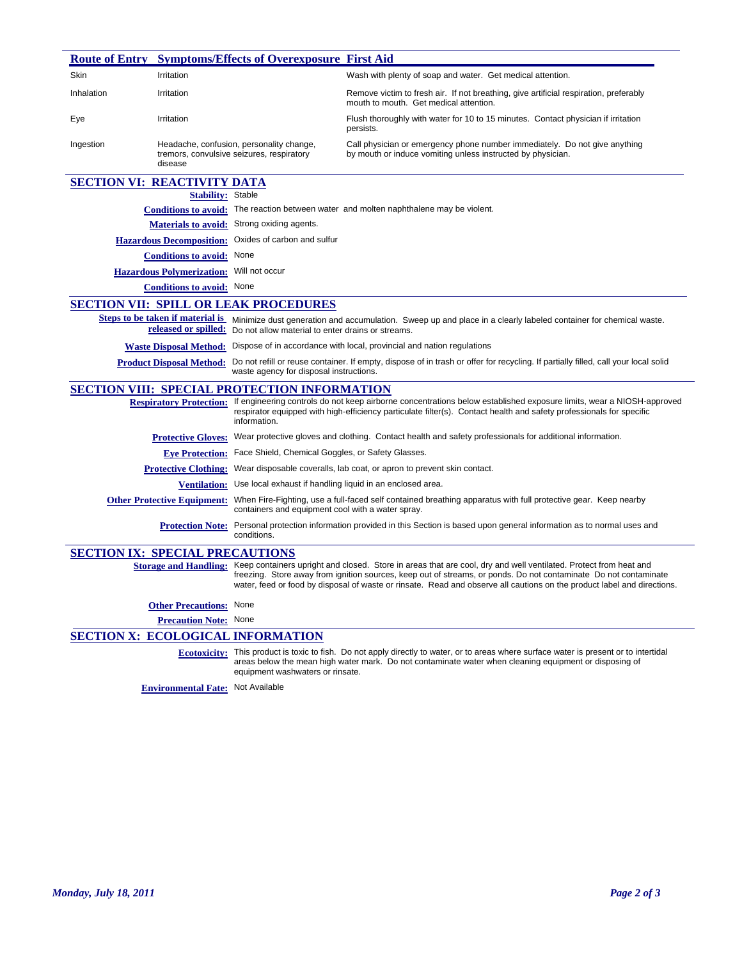|            |                                                          | <b>Route of Entry Symptoms/Effects of Overexposure First Aid</b>                                                                                                              |                                                                                                                                                                                                                                                                                                                                                                 |  |
|------------|----------------------------------------------------------|-------------------------------------------------------------------------------------------------------------------------------------------------------------------------------|-----------------------------------------------------------------------------------------------------------------------------------------------------------------------------------------------------------------------------------------------------------------------------------------------------------------------------------------------------------------|--|
| Skin       | Irritation                                               |                                                                                                                                                                               | Wash with plenty of soap and water. Get medical attention.                                                                                                                                                                                                                                                                                                      |  |
| Inhalation | Irritation                                               |                                                                                                                                                                               | Remove victim to fresh air. If not breathing, give artificial respiration, preferably<br>mouth to mouth. Get medical attention.                                                                                                                                                                                                                                 |  |
| Eye        | Irritation                                               |                                                                                                                                                                               | Flush thoroughly with water for 10 to 15 minutes. Contact physician if irritation<br>persists.                                                                                                                                                                                                                                                                  |  |
| Ingestion  | disease                                                  | Headache, confusion, personality change,<br>tremors, convulsive seizures, respiratory                                                                                         | Call physician or emergency phone number immediately. Do not give anything<br>by mouth or induce vomiting unless instructed by physician.                                                                                                                                                                                                                       |  |
|            | <b>SECTION VI: REACTIVITY DATA</b>                       |                                                                                                                                                                               |                                                                                                                                                                                                                                                                                                                                                                 |  |
|            | <b>Stability:</b>                                        | Stable                                                                                                                                                                        |                                                                                                                                                                                                                                                                                                                                                                 |  |
|            | <b>Conditions to avoid:</b>                              |                                                                                                                                                                               | The reaction between water and molten naphthalene may be violent.                                                                                                                                                                                                                                                                                               |  |
|            | <b>Materials to avoid:</b>                               | Strong oxiding agents.                                                                                                                                                        |                                                                                                                                                                                                                                                                                                                                                                 |  |
|            | <b>Hazardous Decomposition:</b>                          | Oxides of carbon and sulfur                                                                                                                                                   |                                                                                                                                                                                                                                                                                                                                                                 |  |
|            | <b>Conditions to avoid:</b>                              | None                                                                                                                                                                          |                                                                                                                                                                                                                                                                                                                                                                 |  |
|            | <b>Hazardous Polymerization:</b>                         | Will not occur                                                                                                                                                                |                                                                                                                                                                                                                                                                                                                                                                 |  |
|            | <b>Conditions to avoid:</b> None                         |                                                                                                                                                                               |                                                                                                                                                                                                                                                                                                                                                                 |  |
|            |                                                          | <b>SECTION VII: SPILL OR LEAK PROCEDURES</b>                                                                                                                                  |                                                                                                                                                                                                                                                                                                                                                                 |  |
|            | Steps to be taken if material is<br>released or spilled: | Do not allow material to enter drains or streams.                                                                                                                             | Minimize dust generation and accumulation. Sweep up and place in a clearly labeled container for chemical waste.                                                                                                                                                                                                                                                |  |
|            | <b>Waste Disposal Method:</b>                            | Dispose of in accordance with local, provincial and nation regulations                                                                                                        |                                                                                                                                                                                                                                                                                                                                                                 |  |
|            | <b>Product Disposal Method:</b>                          | Do not refill or reuse container. If empty, dispose of in trash or offer for recycling. If partially filled, call your local solid<br>waste agency for disposal instructions. |                                                                                                                                                                                                                                                                                                                                                                 |  |
|            |                                                          | <b>SECTION VIII: SPECIAL PROTECTION INFORMATION</b>                                                                                                                           |                                                                                                                                                                                                                                                                                                                                                                 |  |
|            | <b>Respiratory Protection:</b>                           | information.                                                                                                                                                                  | If engineering controls do not keep airborne concentrations below established exposure limits, wear a NIOSH-approved<br>respirator equipped with high-efficiency particulate filter(s). Contact health and safety professionals for specific                                                                                                                    |  |
|            | <b>Protective Gloves:</b>                                |                                                                                                                                                                               | Wear protective gloves and clothing. Contact health and safety professionals for additional information.                                                                                                                                                                                                                                                        |  |
|            | <b>Eve Protection:</b>                                   | Face Shield, Chemical Goggles, or Safety Glasses.                                                                                                                             |                                                                                                                                                                                                                                                                                                                                                                 |  |
|            | <b>Protective Clothing:</b>                              | Wear disposable coveralls, lab coat, or apron to prevent skin contact.                                                                                                        |                                                                                                                                                                                                                                                                                                                                                                 |  |
|            | <b>Ventilation:</b>                                      | Use local exhaust if handling liquid in an enclosed area.                                                                                                                     |                                                                                                                                                                                                                                                                                                                                                                 |  |
|            | <b>Other Protective Equipment:</b>                       | When Fire-Fighting, use a full-faced self contained breathing apparatus with full protective gear. Keep nearby<br>containers and equipment cool with a water spray.           |                                                                                                                                                                                                                                                                                                                                                                 |  |
|            | <b>Protection Note:</b>                                  | Personal protection information provided in this Section is based upon general information as to normal uses and<br>conditions.                                               |                                                                                                                                                                                                                                                                                                                                                                 |  |
|            | <b>SECTION IX: SPECIAL PRECAUTIONS</b>                   |                                                                                                                                                                               |                                                                                                                                                                                                                                                                                                                                                                 |  |
|            | <b>Storage and Handling:</b>                             |                                                                                                                                                                               | Keep containers upright and closed. Store in areas that are cool, dry and well ventilated. Protect from heat and<br>freezing. Store away from ignition sources, keep out of streams, or ponds. Do not contaminate Do not contaminate<br>water, feed or food by disposal of waste or rinsate. Read and observe all cautions on the product label and directions. |  |
|            | <b>Other Precautions:</b> None                           |                                                                                                                                                                               |                                                                                                                                                                                                                                                                                                                                                                 |  |
|            | <b>Precaution Note:</b> None                             |                                                                                                                                                                               |                                                                                                                                                                                                                                                                                                                                                                 |  |
|            |                                                          | <b>SECTION X: ECOLOGICAL INFORMATION</b>                                                                                                                                      |                                                                                                                                                                                                                                                                                                                                                                 |  |
|            |                                                          | equipment washwaters or rinsate.                                                                                                                                              | Ecotoxicity: This product is toxic to fish. Do not apply directly to water, or to areas where surface water is present or to intertidal<br>areas below the mean high water mark. Do not contaminate water when cleaning equipment or disposing of                                                                                                               |  |
|            | <b>Environmental Fate:</b> Not Available                 |                                                                                                                                                                               |                                                                                                                                                                                                                                                                                                                                                                 |  |